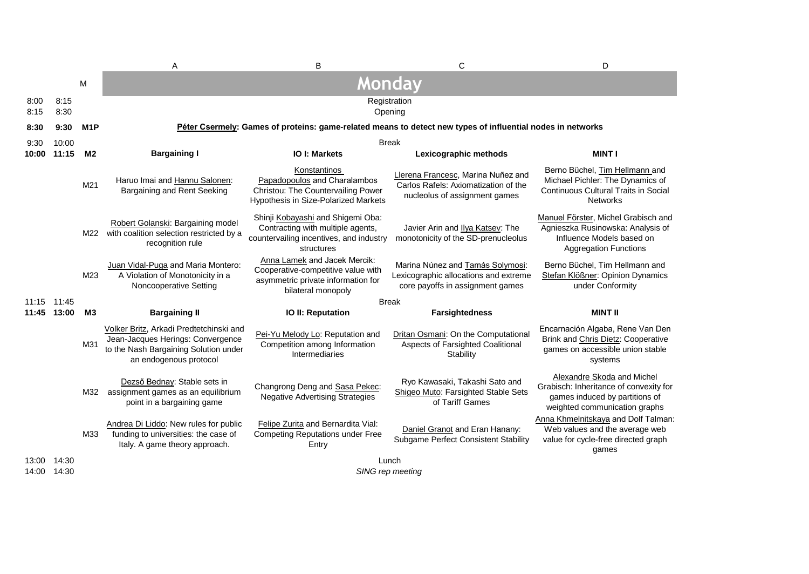|                      |              |                  | A                                                                                                                                               | B                                                                                                                               | C                                                                                                             | D                                                                                                                                       |
|----------------------|--------------|------------------|-------------------------------------------------------------------------------------------------------------------------------------------------|---------------------------------------------------------------------------------------------------------------------------------|---------------------------------------------------------------------------------------------------------------|-----------------------------------------------------------------------------------------------------------------------------------------|
|                      |              | M                |                                                                                                                                                 |                                                                                                                                 | <b>Monday</b>                                                                                                 |                                                                                                                                         |
| 8:00<br>8:15         | 8:15<br>8:30 |                  |                                                                                                                                                 |                                                                                                                                 | Registration<br>Opening                                                                                       |                                                                                                                                         |
| 8:30                 | 9:30         | M <sub>1</sub> P |                                                                                                                                                 |                                                                                                                                 | Péter Csermely: Games of proteins: game-related means to detect new types of influential nodes in networks    |                                                                                                                                         |
| 9:30                 | 10:00        |                  | <b>Break</b>                                                                                                                                    |                                                                                                                                 |                                                                                                               |                                                                                                                                         |
| 10:00                | 11:15        | M <sub>2</sub>   | <b>Bargaining I</b>                                                                                                                             | <b>IO I: Markets</b>                                                                                                            | Lexicographic methods                                                                                         | <b>MINT I</b>                                                                                                                           |
|                      |              | M21              | Haruo Imai and Hannu Salonen:<br>Bargaining and Rent Seeking                                                                                    | Konstantinos<br>Papadopoulos and Charalambos<br>Christou: The Countervailing Power<br>Hypothesis in Size-Polarized Markets      | Llerena Francesc, Marina Nuñez and<br>Carlos Rafels: Axiomatization of the<br>nucleolus of assignment games   | Berno Büchel, Tim Hellmann and<br>Michael Pichler: The Dynamics of<br>Continuous Cultural Traits in Social<br><b>Networks</b>           |
|                      |              |                  | Robert Golanski: Bargaining model<br>M22 with coalition selection restricted by a<br>recognition rule                                           | Shinji Kobayashi and Shigemi Oba:<br>Contracting with multiple agents,<br>countervailing incentives, and industry<br>structures | Javier Arin and Ilya Katsev: The<br>monotonicity of the SD-prenucleolus                                       | Manuel Förster, Michel Grabisch and<br>Agnieszka Rusinowska: Analysis of<br>Influence Models based on<br><b>Aggregation Functions</b>   |
|                      |              | M23              | Juan Vidal-Puga and Maria Montero:<br>A Violation of Monotonicity in a<br>Noncooperative Setting                                                | Anna Lamek and Jacek Mercik:<br>Cooperative-competitive value with<br>asymmetric private information for<br>bilateral monopoly  | Marina Núnez and Tamás Solymosi:<br>Lexicographic allocations and extreme<br>core payoffs in assignment games | Berno Büchel, Tim Hellmann and<br>Stefan Klößner: Opinion Dynamics<br>under Conformity                                                  |
| 11:15 11:45          |              |                  |                                                                                                                                                 |                                                                                                                                 | <b>Break</b>                                                                                                  |                                                                                                                                         |
| 11:45                | 13:00        | M <sub>3</sub>   | <b>Bargaining II</b>                                                                                                                            | IO II: Reputation                                                                                                               | <b>Farsightedness</b>                                                                                         | <b>MINT II</b>                                                                                                                          |
|                      |              | M31              | Volker Britz, Arkadi Predtetchinski and<br>Jean-Jacques Herings: Convergence<br>to the Nash Bargaining Solution under<br>an endogenous protocol | Pei-Yu Melody Lo: Reputation and<br>Competition among Information<br>Intermediaries                                             | Dritan Osmani: On the Computational<br>Aspects of Farsighted Coalitional<br>Stability                         | Encarnación Algaba, Rene Van Den<br>Brink and Chris Dietz: Cooperative<br>games on accessible union stable<br>systems                   |
|                      |              | M32              | Dezső Bednay: Stable sets in<br>assignment games as an equilibrium<br>point in a bargaining game                                                | Changrong Deng and Sasa Pekec:<br><b>Negative Advertising Strategies</b>                                                        | Ryo Kawasaki, Takashi Sato and<br>Shigeo Muto: Farsighted Stable Sets<br>of Tariff Games                      | Alexandre Skoda and Michel<br>Grabisch: Inheritance of convexity for<br>games induced by partitions of<br>weighted communication graphs |
|                      |              | M33              | Andrea Di Liddo: New rules for public<br>funding to universities: the case of<br>Italy. A game theory approach.                                 | Felipe Zurita and Bernardita Vial:<br><b>Competing Reputations under Free</b><br>Entry                                          | Daniel Granot and Eran Hanany:<br>Subgame Perfect Consistent Stability                                        | Anna Khmelnitskaya and Dolf Talman:<br>Web values and the average web<br>value for cycle-free directed graph<br>games                   |
| 13:00<br>14:00 14:30 | 14:30        |                  |                                                                                                                                                 |                                                                                                                                 | Lunch<br>SING rep meeting                                                                                     |                                                                                                                                         |
|                      |              |                  |                                                                                                                                                 |                                                                                                                                 |                                                                                                               |                                                                                                                                         |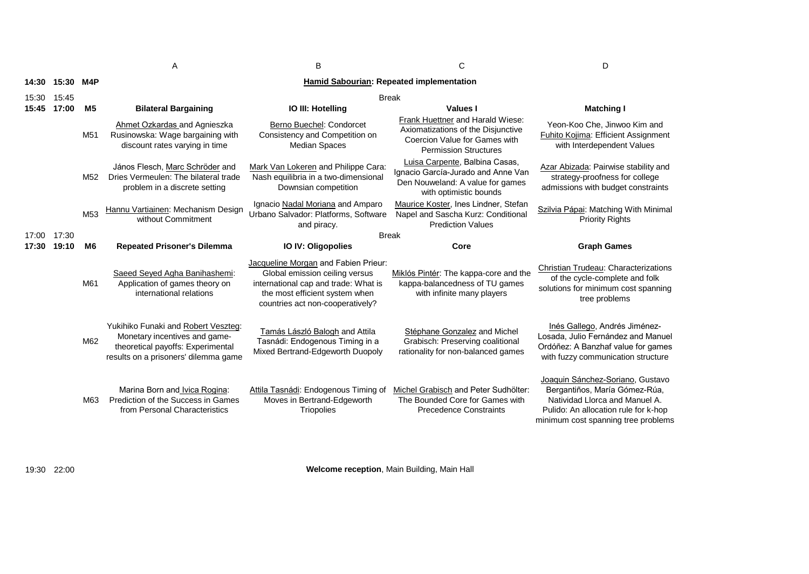A B B C D

| 14:30 | 15:30 M4P |                 | Hamid Sabourian: Repeated implementation                                                                                                          |                                                                                                                                                                                      |                                                                                                                                    |                                                                                                                                                                                    |                                                                                                   |
|-------|-----------|-----------------|---------------------------------------------------------------------------------------------------------------------------------------------------|--------------------------------------------------------------------------------------------------------------------------------------------------------------------------------------|------------------------------------------------------------------------------------------------------------------------------------|------------------------------------------------------------------------------------------------------------------------------------------------------------------------------------|---------------------------------------------------------------------------------------------------|
| 15:30 | 15:45     |                 | <b>Break</b>                                                                                                                                      |                                                                                                                                                                                      |                                                                                                                                    |                                                                                                                                                                                    |                                                                                                   |
| 15:45 | 17:00     | M <sub>5</sub>  | <b>Bilateral Bargaining</b>                                                                                                                       | IO III: Hotelling                                                                                                                                                                    | Values I                                                                                                                           | <b>Matching I</b>                                                                                                                                                                  |                                                                                                   |
|       |           | M <sub>51</sub> |                                                                                                                                                   | Ahmet Ozkardas and Agnieszka<br>Rusinowska: Wage bargaining with<br>discount rates varying in time                                                                                   | Berno Buechel: Condorcet<br>Consistency and Competition on<br><b>Median Spaces</b>                                                 | Frank Huettner and Harald Wiese:<br>Axiomatizations of the Disjunctive<br>Coercion Value for Games with<br><b>Permission Structures</b>                                            | Yeon-Koo Che. Jinwoo Kim and<br>Fuhito Kojima: Efficient Assignment<br>with Interdependent Values |
|       |           | M <sub>52</sub> | János Flesch, Marc Schröder and<br>Dries Vermeulen: The bilateral trade<br>problem in a discrete setting                                          | Mark Van Lokeren and Philippe Cara:<br>Nash equilibria in a two-dimensional<br>Downsian competition                                                                                  | Luisa Carpente, Balbina Casas,<br>Ignacio García-Jurado and Anne Van<br>Den Nouweland: A value for games<br>with optimistic bounds | Azar Abizada: Pairwise stability and<br>strategy-proofness for college<br>admissions with budget constraints                                                                       |                                                                                                   |
|       |           | M <sub>53</sub> | Hannu Vartiainen: Mechanism Design<br>without Commitment                                                                                          | Ignacio Nadal Moriana and Amparo<br>Urbano Salvador: Platforms, Software<br>and piracy.                                                                                              | Maurice Koster, Ines Lindner, Stefan<br>Napel and Sascha Kurz: Conditional<br><b>Prediction Values</b>                             | Szilvia Pápai: Matching With Minimal<br><b>Priority Rights</b>                                                                                                                     |                                                                                                   |
| 17:00 | 17:30     |                 |                                                                                                                                                   |                                                                                                                                                                                      | <b>Break</b>                                                                                                                       |                                                                                                                                                                                    |                                                                                                   |
| 17:30 | 19:10     | M <sub>6</sub>  | <b>Repeated Prisoner's Dilemma</b>                                                                                                                | <b>IO IV: Oligopolies</b>                                                                                                                                                            | Core                                                                                                                               | <b>Graph Games</b>                                                                                                                                                                 |                                                                                                   |
|       |           | M61             | Saeed Seyed Agha Banihashemi:<br>Application of games theory on<br>international relations                                                        | Jacqueline Morgan and Fabien Prieur:<br>Global emission ceiling versus<br>international cap and trade: What is<br>the most efficient system when<br>countries act non-cooperatively? | Miklós Pintér: The kappa-core and the<br>kappa-balancedness of TU games<br>with infinite many players                              | Christian Trudeau: Characterizations<br>of the cycle-complete and folk<br>solutions for minimum cost spanning<br>tree problems                                                     |                                                                                                   |
|       |           | M62             | Yukihiko Funaki and Robert Veszteg:<br>Monetary incentives and game-<br>theoretical payoffs: Experimental<br>results on a prisoners' dilemma game | Tamás László Balogh and Attila<br>Tasnádi: Endogenous Timing in a<br>Mixed Bertrand-Edgeworth Duopoly                                                                                | Stéphane Gonzalez and Michel<br>Grabisch: Preserving coalitional<br>rationality for non-balanced games                             | Inés Gallego, Andrés Jiménez-<br>Losada, Julio Fernández and Manuel<br>Ordóñez: A Banzhaf value for games<br>with fuzzy communication structure                                    |                                                                                                   |
|       |           | M63             | Marina Born and Ivica Rogina:<br>Prediction of the Success in Games<br>from Personal Characteristics                                              | Attila Tasnádi: Endogenous Timing of<br>Moves in Bertrand-Edgeworth<br>Triopolies                                                                                                    | Michel Grabisch and Peter Sudhölter:<br>The Bounded Core for Games with<br><b>Precedence Constraints</b>                           | Joaquin Sánchez-Soriano, Gustavo<br>Bergantiños, María Gómez-Rúa,<br>Natividad Llorca and Manuel A.<br>Pulido: An allocation rule for k-hop<br>minimum cost spanning tree problems |                                                                                                   |

**Welcome reception**, Main Building, Main Hall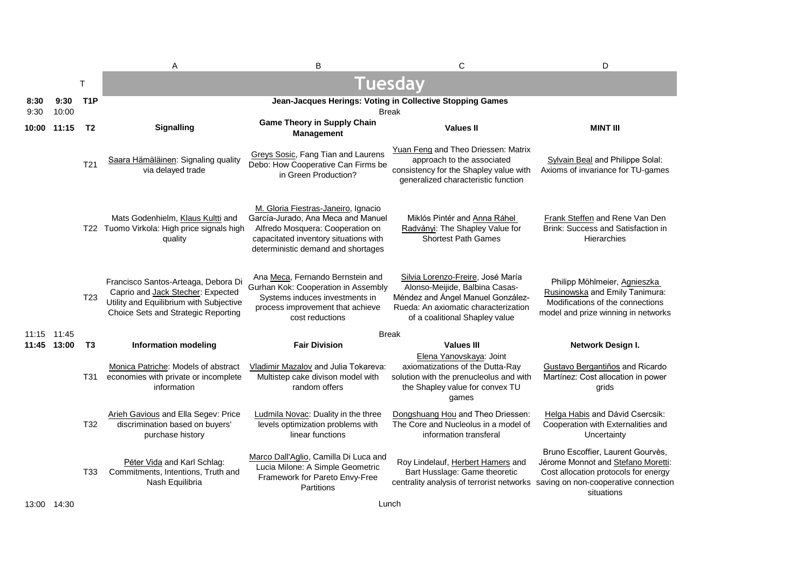|              |               |                  | A                                                                                                                                                          | B                                                                                                                                                                                            | C                                                                                                                                                                                  | D                                                                                                                                                                     |
|--------------|---------------|------------------|------------------------------------------------------------------------------------------------------------------------------------------------------------|----------------------------------------------------------------------------------------------------------------------------------------------------------------------------------------------|------------------------------------------------------------------------------------------------------------------------------------------------------------------------------------|-----------------------------------------------------------------------------------------------------------------------------------------------------------------------|
|              |               | T                |                                                                                                                                                            | <b>Tuesday</b>                                                                                                                                                                               |                                                                                                                                                                                    |                                                                                                                                                                       |
| 8:30<br>9:30 | 9:30<br>10:00 | T <sub>1</sub> P |                                                                                                                                                            |                                                                                                                                                                                              | Jean-Jacques Herings: Voting in Collective Stopping Games<br>Break                                                                                                                 |                                                                                                                                                                       |
|              | 10:00 11:15   | T <sub>2</sub>   | <b>Signalling</b>                                                                                                                                          | <b>Game Theory in Supply Chain</b><br>Management                                                                                                                                             | <b>Values II</b>                                                                                                                                                                   | <b>MINT III</b>                                                                                                                                                       |
|              |               | T <sub>21</sub>  | Saara Hämäläinen: Signaling quality<br>via delayed trade                                                                                                   | Greys Sosic, Fang Tian and Laurens<br>Debo: How Cooperative Can Firms be<br>in Green Production?                                                                                             | Yuan Feng and Theo Driessen: Matrix<br>approach to the associated<br>consistency for the Shapley value with<br>generalized characteristic function                                 | Sylvain Beal and Philippe Solal:<br>Axioms of invariance for TU-games                                                                                                 |
|              |               |                  | Mats Godenhielm, Klaus Kultti and<br>T22 Tuomo Virkola: High price signals high<br>quality                                                                 | M. Gloria Fiestras-Janeiro, Ignacio<br>García-Jurado, Ana Meca and Manuel<br>Alfredo Mosquera: Cooperation on<br>capacitated inventory situations with<br>deterministic demand and shortages | Miklós Pintér and Anna Ráhel<br>Radványi: The Shapley Value for<br><b>Shortest Path Games</b>                                                                                      | Frank Steffen and Rene Van Den<br>Brink: Success and Satisfaction in<br>Hierarchies                                                                                   |
|              |               | T <sub>23</sub>  | Francisco Santos-Arteaga, Debora Di<br>Caprio and Jack Stecher: Expected<br>Utility and Equilibrium with Subjective<br>Choice Sets and Strategic Reporting | Ana Meca, Fernando Bernstein and<br>Gurhan Kok: Cooperation in Assembly<br>Systems induces investments in<br>process improvement that achieve<br>cost reductions                             | Silvia Lorenzo-Freire, José María<br>Alonso-Meijide, Balbina Casas-<br>Méndez and Ángel Manuel González-<br>Rueda: An axiomatic characterization<br>of a coalitional Shapley value | Philipp Möhlmeier, Agnieszka<br>Rusinowska and Emily Tanimura:<br>Modifications of the connections<br>model and prize winning in networks                             |
|              | 11:15 11:45   |                  |                                                                                                                                                            | <b>Break</b>                                                                                                                                                                                 |                                                                                                                                                                                    |                                                                                                                                                                       |
|              | 11:45 13:00   | T3               | <b>Information modeling</b>                                                                                                                                | <b>Fair Division</b>                                                                                                                                                                         | <b>Values III</b><br>Elena Yanovskaya: Joint                                                                                                                                       | Network Design I.                                                                                                                                                     |
|              |               | T31 -            | Monica Patriche: Models of abstract<br>economies with private or incomplete<br>information                                                                 | Vladimir Mazalov and Julia Tokareva:<br>Multistep cake divison model with<br>random offers                                                                                                   | axiomatizations of the Dutta-Ray<br>solution with the prenucleolus and with<br>the Shapley value for convex TU<br>games                                                            | Gustavo Bergantiños and Ricardo<br>Martínez: Cost allocation in power<br>grids                                                                                        |
|              |               | T32              | Arieh Gavious and Ella Segev: Price<br>discrimination based on buyers'<br>purchase history                                                                 | Ludmila Novac: Duality in the three<br>levels optimization problems with<br>linear functions                                                                                                 | Dongshuang Hou and Theo Driessen:<br>The Core and Nucleolus in a model of<br>information transferal                                                                                | Helga Habis and Dávid Csercsik:<br>Cooperation with Externalities and<br>Uncertainty                                                                                  |
|              |               | T33              | Péter Vida and Karl Schlag:<br>Commitments, Intentions, Truth and<br>Nash Equilibria                                                                       | Marco Dall'Aglio, Camilla Di Luca and<br>Lucia Milone: A Simple Geometric<br>Framework for Pareto Envy-Free<br>Partitions                                                                    | Roy Lindelauf, Herbert Hamers and<br>Bart Husslage: Game theoretic<br>centrality analysis of terrorist networks                                                                    | Bruno Escoffier, Laurent Gourvès,<br>Jérome Monnot and Stefano Moretti:<br>Cost allocation protocols for energy<br>saving on non-cooperative connection<br>situations |

13:00 14:30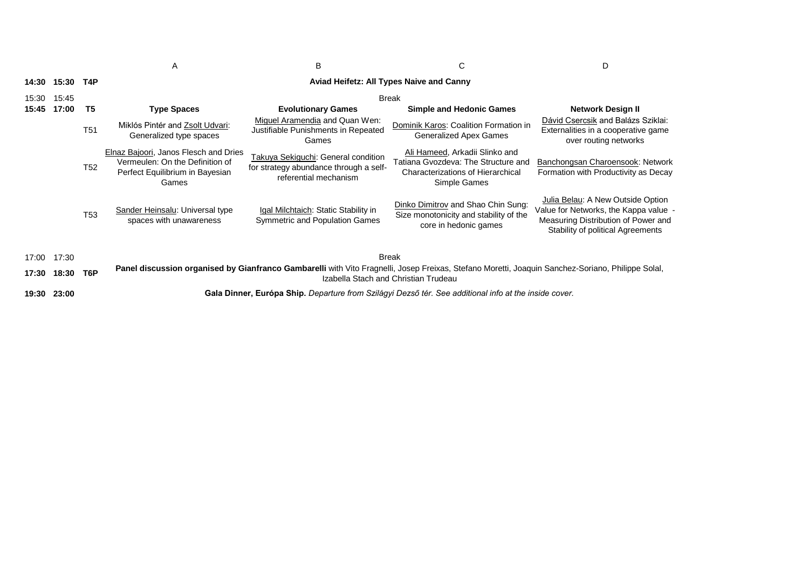|       |       |                  | A                                                                                                                                                                                         | B                                                                                                      | C                                                                                                                                 | D                                                                                                                                                      |  |
|-------|-------|------------------|-------------------------------------------------------------------------------------------------------------------------------------------------------------------------------------------|--------------------------------------------------------------------------------------------------------|-----------------------------------------------------------------------------------------------------------------------------------|--------------------------------------------------------------------------------------------------------------------------------------------------------|--|
| 14:30 | 15:30 | T4P              |                                                                                                                                                                                           |                                                                                                        | Aviad Heifetz: All Types Naive and Canny                                                                                          |                                                                                                                                                        |  |
| 15:30 | 15:45 |                  |                                                                                                                                                                                           | Break                                                                                                  |                                                                                                                                   |                                                                                                                                                        |  |
| 15:45 | 17:00 | T5               | <b>Type Spaces</b>                                                                                                                                                                        | <b>Evolutionary Games</b>                                                                              | <b>Simple and Hedonic Games</b>                                                                                                   | <b>Network Design II</b>                                                                                                                               |  |
|       |       | T <sub>51</sub>  | Miklós Pintér and Zsolt Udvari:<br>Generalized type spaces                                                                                                                                | Miquel Aramendia and Quan Wen:<br>Justifiable Punishments in Repeated<br>Games                         | Dominik Karos: Coalition Formation in<br><b>Generalized Apex Games</b>                                                            | Dávid Csercsik and Balázs Sziklai:<br>Externalities in a cooperative game<br>over routing networks                                                     |  |
|       |       | T <sub>52</sub>  | Elnaz Bajoori, Janos Flesch and Dries<br>Vermeulen: On the Definition of<br>Perfect Equilibrium in Bayesian<br>Games                                                                      | Takuya Sekiguchi: General condition<br>for strategy abundance through a self-<br>referential mechanism | Ali Hameed, Arkadii Slinko and<br>Tatiana Gvozdeva: The Structure and<br><b>Characterizations of Hierarchical</b><br>Simple Games | Banchongsan Charoensook: Network<br>Formation with Productivity as Decay                                                                               |  |
|       |       | T <sub>53</sub>  | Sander Heinsalu: Universal type<br>spaces with unawareness                                                                                                                                | Igal Milchtaich: Static Stability in<br><b>Symmetric and Population Games</b>                          | Dinko Dimitrov and Shao Chin Sung:<br>Size monotonicity and stability of the<br>core in hedonic games                             | Julia Belau: A New Outside Option<br>Value for Networks, the Kappa value -<br>Measuring Distribution of Power and<br>Stability of political Agreements |  |
| 17:00 | 17:30 |                  | <b>Break</b>                                                                                                                                                                              |                                                                                                        |                                                                                                                                   |                                                                                                                                                        |  |
| 17:30 | 18:30 | T <sub>6</sub> P | Panel discussion organised by Gianfranco Gambarelli with Vito Fragnelli, Josep Freixas, Stefano Moretti, Joaquin Sanchez-Soriano, Philippe Solal,<br>Izabella Stach and Christian Trudeau |                                                                                                        |                                                                                                                                   |                                                                                                                                                        |  |
| 19:30 | 23:00 |                  | Gala Dinner, Európa Ship. Departure from Szilágyi Dezső tér. See additional info at the inside cover.                                                                                     |                                                                                                        |                                                                                                                                   |                                                                                                                                                        |  |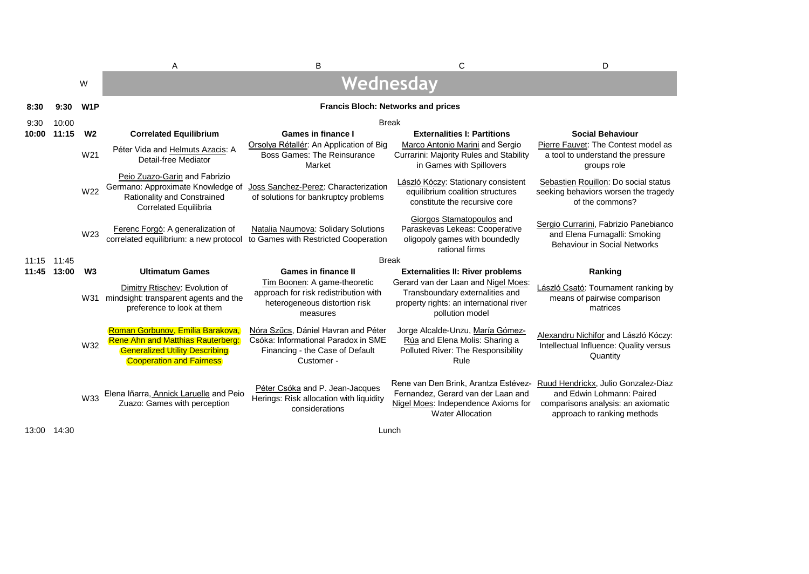|             |       |                  | Α                                                                                                                                                        | B                                                                                                                           | C                                                                                                                                            | D                                                                                                                                     |  |
|-------------|-------|------------------|----------------------------------------------------------------------------------------------------------------------------------------------------------|-----------------------------------------------------------------------------------------------------------------------------|----------------------------------------------------------------------------------------------------------------------------------------------|---------------------------------------------------------------------------------------------------------------------------------------|--|
|             |       | W                |                                                                                                                                                          |                                                                                                                             | Wednesday                                                                                                                                    |                                                                                                                                       |  |
| 8:30        | 9:30  | W <sub>1</sub> P |                                                                                                                                                          |                                                                                                                             | <b>Francis Bloch: Networks and prices</b>                                                                                                    |                                                                                                                                       |  |
| 9:30        | 10:00 |                  | <b>Break</b>                                                                                                                                             |                                                                                                                             |                                                                                                                                              |                                                                                                                                       |  |
| 10:00       | 11:15 | W <sub>2</sub>   | <b>Correlated Equilibrium</b>                                                                                                                            | Games in finance I                                                                                                          | <b>Externalities I: Partitions</b>                                                                                                           | <b>Social Behaviour</b>                                                                                                               |  |
|             |       | W21              | Péter Vida and Helmuts Azacis: A<br>Detail-free Mediator                                                                                                 | Orsolya Rétallér: An Application of Big<br><b>Boss Games: The Reinsurance</b><br>Market                                     | Marco Antonio Marini and Sergio<br>Currarini: Majority Rules and Stability<br>in Games with Spillovers                                       | Pierre Fauvet: The Contest model as<br>a tool to understand the pressure<br>groups role                                               |  |
|             |       | W22              | Peio Zuazo-Garin and Fabrizio<br>Germano: Approximate Knowledge of<br>Rationality and Constrained<br><b>Correlated Equilibria</b>                        | Joss Sanchez-Perez: Characterization<br>of solutions for bankruptcy problems                                                | László Kóczy: Stationary consistent<br>equilibrium coalition structures<br>constitute the recursive core                                     | Sebastien Rouillon: Do social status<br>seeking behaviors worsen the tragedy<br>of the commons?                                       |  |
|             |       | W <sub>23</sub>  | Ferenc Forgó: A generalization of<br>correlated equilibrium: a new protocol                                                                              | Natalia Naumova: Solidary Solutions<br>to Games with Restricted Cooperation                                                 | Giorgos Stamatopoulos and<br>Paraskevas Lekeas: Cooperative<br>oligopoly games with boundedly<br>rational firms                              | Sergio Currarini, Fabrizio Panebianco<br>and Elena Fumagalli: Smoking<br><b>Behaviour in Social Networks</b>                          |  |
| 11:15 11:45 |       |                  |                                                                                                                                                          |                                                                                                                             | <b>Break</b>                                                                                                                                 |                                                                                                                                       |  |
| 11:45       | 13:00 | W <sub>3</sub>   | <b>Ultimatum Games</b>                                                                                                                                   | <b>Games in finance II</b>                                                                                                  | <b>Externalities II: River problems</b>                                                                                                      | Ranking                                                                                                                               |  |
|             |       |                  | Dimitry Rtischev: Evolution of<br>W31 mindsight: transparent agents and the<br>preference to look at them                                                | Tim Boonen: A game-theoretic<br>approach for risk redistribution with<br>heterogeneous distortion risk<br>measures          | Gerard van der Laan and Nigel Moes:<br>Transboundary externalities and<br>property rights: an international river<br>pollution model         | László Csató: Tournament ranking by<br>means of pairwise comparison<br>matrices                                                       |  |
|             |       | W32              | Roman Gorbunov, Emilia Barakova,<br><b>Rene Ahn and Matthias Rauterberg:</b><br><b>Generalized Utility Describing</b><br><b>Cooperation and Fairness</b> | Nóra Szűcs, Dániel Havran and Péter<br>Csóka: Informational Paradox in SME<br>Financing - the Case of Default<br>Customer - | Jorge Alcalde-Unzu, María Gómez-<br>Rúa and Elena Molis: Sharing a<br>Polluted River: The Responsibility<br>Rule                             | Alexandru Nichifor and László Kóczy:<br>Intellectual Influence: Quality versus<br>Quantity                                            |  |
|             |       | W33              | Elena Iñarra, Annick Laruelle and Peio<br>Zuazo: Games with perception                                                                                   | Péter Csóka and P. Jean-Jacques<br>Herings: Risk allocation with liquidity<br>considerations                                | Rene van Den Brink, Arantza Estévez-<br>Fernandez, Gerard van der Laan and<br>Nigel Moes: Independence Axioms for<br><b>Water Allocation</b> | Ruud Hendrickx, Julio Gonzalez-Diaz<br>and Edwin Lohmann: Paired<br>comparisons analysis: an axiomatic<br>approach to ranking methods |  |

13:00 14:30

Lunch